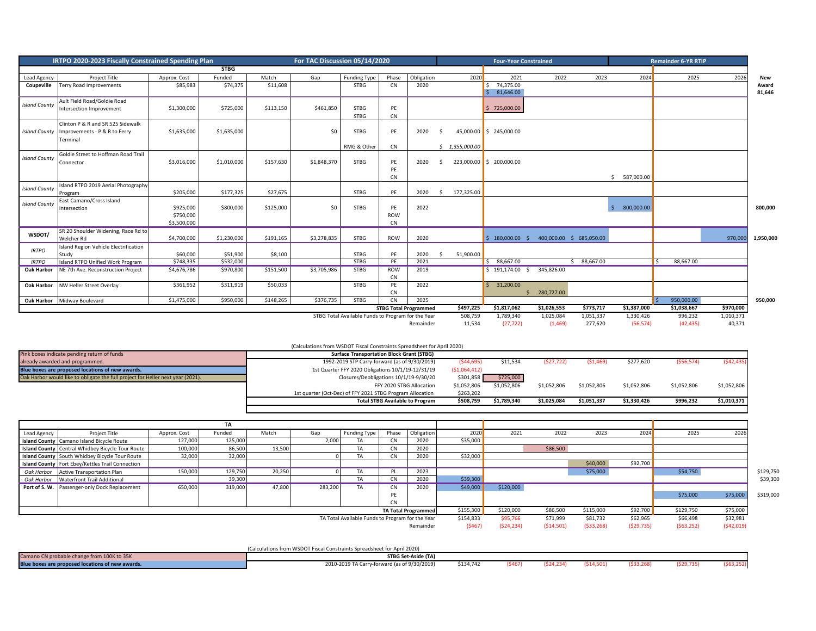| IRTPO 2020-2023 Fiscally Constrained Spending Plan |                                                                                              |                                       |             | For TAC Discussion 05/14/2020 |             |                                                    |                               |                              | <b>Four-Year Constrained</b> |                   |                           |                          | <b>Remainder 6-YR RTIP</b> |                        |     |                      |                     |                 |
|----------------------------------------------------|----------------------------------------------------------------------------------------------|---------------------------------------|-------------|-------------------------------|-------------|----------------------------------------------------|-------------------------------|------------------------------|------------------------------|-------------------|---------------------------|--------------------------|----------------------------|------------------------|-----|----------------------|---------------------|-----------------|
|                                                    |                                                                                              |                                       | <b>STBG</b> |                               |             |                                                    |                               |                              |                              |                   |                           |                          |                            |                        |     |                      |                     |                 |
| Lead Agency                                        | <b>Project Title</b>                                                                         | Approx. Cost                          | Funded      | Match                         | Gap         | <b>Funding Type</b>                                | Phase                         | Obligation                   |                              | 2020              | 2021                      | 2022                     | 2023                       | 2024                   |     | 2025                 | 2026                | <b>New</b>      |
| Coupeville                                         | Terry Road Improvements                                                                      | \$85,983                              | \$74,375    | \$11,608                      |             | <b>STBG</b>                                        | <b>CN</b>                     | 2020                         |                              |                   | 74,375.00<br>\$3,646.00   |                          |                            |                        |     |                      |                     | Award<br>81,646 |
| <b>Island County</b>                               | Ault Field Road/Goldie Road<br>Intersection Improvement                                      | \$1,300,000                           | \$725,000   | \$113,150                     | \$461,850   | <b>STBG</b><br><b>STBG</b>                         | PE<br><b>CN</b>               |                              |                              |                   | 725,000.00                |                          |                            |                        |     |                      |                     |                 |
|                                                    | Clinton P & R and SR 525 Sidewalk<br>Island County Improvements - P & R to Ferry<br>Terminal | \$1,635,000                           | \$1,635,000 |                               | \$0         | <b>STBG</b><br>RMG & Other                         | PE<br><b>CN</b>               | 2020                         | -S                           | \$1,355,000.00    | 45,000.00 \$245,000.00    |                          |                            |                        |     |                      |                     |                 |
| <b>Island County</b>                               | Goldie Street to Hoffman Road Trail<br>Connector                                             | \$3,016,000                           | \$1,010,000 | \$157,630                     | \$1,848,370 | <b>STBG</b>                                        | PE<br>PF<br><b>CN</b>         | 2020                         | -S                           |                   | 223,000.00 \$ 200,000.00  |                          |                            | 587,000.00<br>$\zeta$  |     |                      |                     |                 |
| <b>Island County</b>                               | Island RTPO 2019 Aerial Photography<br>Program                                               | \$205,000                             | \$177,325   | \$27,675                      |             | <b>STBG</b>                                        | PE                            | 2020                         | \$                           | 177,325.00        |                           |                          |                            |                        |     |                      |                     |                 |
| <b>Island County</b>                               | East Camano/Cross Island<br>Intersection                                                     | \$925,000<br>\$750,000<br>\$3,500,000 | \$800,000   | \$125,000                     | \$0         | <b>STBG</b>                                        | PE<br><b>ROW</b><br><b>CN</b> | 2022                         |                              |                   |                           |                          |                            | 800,000.00<br>S.       |     |                      |                     | 800,000         |
| WSDOT/                                             | SR 20 Shoulder Widening, Race Rd to<br>Welcher Rd                                            | \$4,700,000                           | \$1,230,000 | \$191,165                     | \$3,278,835 | <b>STBG</b>                                        | ROW                           | 2020                         |                              |                   | 5 180,000,00 5            | 400,000,00 \$ 685,050,00 |                            |                        |     |                      | 970,000             | 1,950,000       |
| <b>IRTPO</b>                                       | <b>Island Region Vehicle Electrification</b><br>Study                                        | \$60,000                              | \$51,900    | \$8,100                       |             | <b>STBG</b>                                        | PE                            | 2020                         | - Ś                          | 51,900.00         |                           |                          |                            |                        |     |                      |                     |                 |
| <b>IRTPO</b>                                       | Island RTPO Unified Work Program                                                             | \$748,335                             | \$532,000   |                               |             | <b>STBG</b>                                        | PE                            | 2021                         |                              |                   | \$88,667.00               |                          | \$88,667.00                |                        | l s | 88,667.00            |                     |                 |
| <b>Oak Harbor</b>                                  | NE 7th Ave. Reconstruction Project                                                           | \$4,676,786                           | \$970,800   | \$151,500                     | \$3,705,986 | STBG                                               | ROW<br><b>CN</b>              | 2019                         |                              |                   | \$191,174.00\$            | 345,826.00               |                            |                        |     |                      |                     |                 |
| Oak Harbor                                         | NW Heller Street Overlay                                                                     | \$361,952                             | \$311,919   | \$50,033                      |             | <b>STBG</b>                                        | PE<br><b>CN</b>               | 2022                         |                              |                   | 31,200.00<br>$\mathsf{S}$ | 280,727.00               |                            |                        |     |                      |                     |                 |
|                                                    | Oak Harbor Midway Boulevard                                                                  | \$1,475,000                           | \$950,000   | \$148,265                     | \$376,735   | <b>STBG</b>                                        | <b>CN</b>                     | 2025                         |                              |                   |                           |                          |                            |                        |     | 950,000.00           |                     | 950,000         |
|                                                    |                                                                                              |                                       |             |                               |             |                                                    |                               | <b>STBG Total Programmed</b> |                              | \$497,225         | \$1,817,062               | \$1,026,553              | \$773,717                  | \$1,387,000            |     | \$1,038,667          | \$970,000           |                 |
|                                                    |                                                                                              |                                       |             |                               |             | STBG Total Available Funds to Program for the Year |                               | Remainder                    |                              | 508,759<br>11,534 | 1,789,340<br>(27, 722)    | 1,025,084<br>(1, 469)    | 1,051,337<br>277,620       | 1,330,426<br>(56, 574) |     | 996,232<br>(42, 435) | 1,010,371<br>40,371 |                 |

|                                                                                 | (Calculations from WSDOT Fiscal Constraints Spreadsheet for April 2020) |              |             |             |             |             |              |             |
|---------------------------------------------------------------------------------|-------------------------------------------------------------------------|--------------|-------------|-------------|-------------|-------------|--------------|-------------|
| Pink boxes indicate pending return of funds                                     | <b>Surface Transportation Block Grant (STBG)</b>                        |              |             |             |             |             |              |             |
| already awarded and programmed.                                                 | 1992-2019 STP Carry-forward (as of 9/30/2019)                           | (\$44,695)   | \$11,534    | (527, 722)  | (51, 469)   | \$277,620   | ( \$56, 574) | (542, 435)  |
| Blue boxes are proposed locations of new awards.                                | 1st Quarter FFY 2020 Obligations 10/1/19-12/31/19                       | (51,064,412) |             |             |             |             |              |             |
| Oak Harbor would like to obligate the full project for Heller next year (2021). | Closures/Deobligations 10/1/19-9/30/20                                  | \$301,858    | \$725,000   |             |             |             |              |             |
|                                                                                 | FFY 2020 STBG Allocation                                                | \$1,052,806  | \$1,052,806 | \$1,052,806 | \$1,052,806 | \$1,052,806 | \$1,052,806  | \$1,052,806 |
|                                                                                 | 1st quarter (Oct-Dec) of FFY 2021 STBG Program Allocation               | \$263,202    |             |             |             |             |              |             |
|                                                                                 | <b>Total STBG Available to Program</b>                                  | \$508,759    | \$1,789,340 | \$1,025,084 | \$1,051,337 | \$1,330,426 | \$996,232    | \$1,010,371 |
|                                                                                 |                                                                         |              |             |             |             |             |              |             |

|             |                                                  |              | TA      |        |         |                                                  |            |            |            |            |            |           |          |          |          |           |
|-------------|--------------------------------------------------|--------------|---------|--------|---------|--------------------------------------------------|------------|------------|------------|------------|------------|-----------|----------|----------|----------|-----------|
| Lead Agency | <b>Project Title</b>                             | Approx. Cost | Funded  | Match  | Gap     | <b>Funding Type</b>                              | Phase      | Obligation | 2020       | 2021       | 2022       | 2023      | 2024     | 2025     | 2026     |           |
|             | Island County Camano Island Bicycle Route        | 127,000      | 125,000 |        | 2,000   | IA.                                              | <b>CN</b>  | 2020       | \$35,000   |            |            |           |          |          |          |           |
|             | Island County Central Whidbey Bicycle Tour Route | 100,000      | 86,500  | 13,500 |         | TA                                               | <b>CN</b>  | 2020       |            |            | \$86,500   |           |          |          |          |           |
|             | Island County South Whidbey Bicycle Tour Route   | 32,000       | 32,000  |        |         | TA                                               | CN         | 2020       | \$32,000   |            |            |           |          |          |          |           |
|             | Island County Fort Ebey/Kettles Trail Connection |              |         |        |         |                                                  |            |            |            |            |            | \$40,000  | \$92,700 |          |          |           |
|             | Oak Harbor Active Transportation Plan            | 150,000      | 129,750 | 20,250 |         | TA                                               | PL         | 2023       |            |            |            | \$75,000  |          | \$54,750 |          | \$129,750 |
|             | Oak Harbor Waterfront Trail Additional           |              | 39,300  |        |         | ΙA                                               | CN         | 2020       | \$39,300   |            |            |           |          |          |          | \$39,300  |
|             | Port of S. W. Passenger-only Dock Replacement    | 650,000      | 319,000 | 47,800 | 283,200 | TA                                               | <b>CN</b>  | 2020       | \$49,000   | \$120,000  |            |           |          |          |          |           |
|             |                                                  |              |         |        |         |                                                  | PE         |            |            |            |            |           |          | \$75,000 | \$75,000 | \$319,000 |
|             |                                                  |              |         |        |         |                                                  | <b>CN</b>  |            |            |            |            |           |          |          |          |           |
|             | <b>TA Total Programmed</b>                       |              |         |        |         |                                                  | \$155,300  | \$120,000  | \$86,500   | \$115,000  | \$92,700   | \$129,750 | \$75,000 |          |          |           |
|             |                                                  |              |         |        |         | TA Total Available Funds to Program for the Year |            |            | \$154,833  | \$95,766   | \$71,999   | \$81,732  | \$62,965 | \$66,498 | \$32,981 |           |
| Remainder   |                                                  |              |         |        |         | (5467)                                           | (524, 234) | (514, 501) | (533, 268) | (529, 735) | (563, 252) | (542,019) |          |          |          |           |

|                                                  | (Calculations from WSDOT Fiscal Constraints Spreadsheet for April 2020) |           |        |           |           |            |           |  |
|--------------------------------------------------|-------------------------------------------------------------------------|-----------|--------|-----------|-----------|------------|-----------|--|
| Camano CN probable change from 100K to 35K       | STBG Set-Aside (TA)                                                     |           |        |           |           |            |           |  |
| Blue boxes are proposed locations of new awards. | 2010-2019 TA Carry-forward (as of 9/30/2019)                            | \$134,742 | (5467) | (524.234) | (514.501) | (\$33,268) | (529.735) |  |